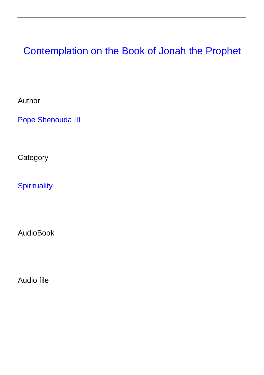**[Contemplation on the Book of Jonah the Prophet](/books/contemplation-book-jonah-prophet)** 

Author

[Pope Shenouda III](/author/pope-shenouda-iii)

**Category** 

**[Spirituality](/category/spirituality)** 

AudioBook

Audio file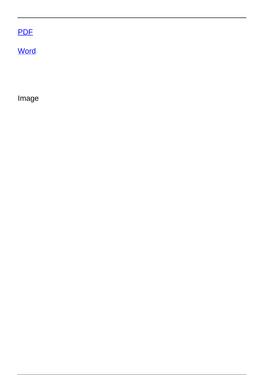[PDF](/print/pdf/node/656)

**[Word](/print/word_docx/node/656)** 

Image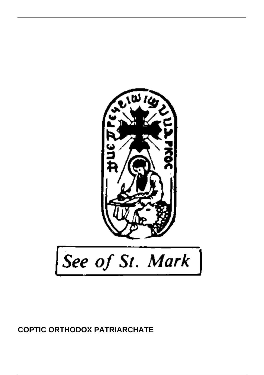

#### **COPTIC ORTHODOX PATRIARCHATE**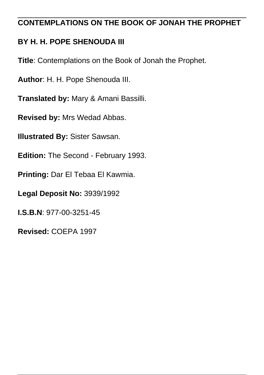# **CONTEMPLATIONS ON THE BOOK OF JONAH THE PROPHET**

# **BY H. H. POPE SHENOUDA III**

**Title**: Contemplations on the Book of Jonah the Prophet.

**Author**: H. H. Pope Shenouda III.

**Translated by:** Mary & Amani Bassilli.

**Revised by:** Mrs Wedad Abbas.

**Illustrated By:** Sister Sawsan.

**Edition:** The Second - February 1993.

**Printing:** Dar El Tebaa El Kawmia.

**Legal Deposit No:** 3939/1992

**I.S.B.N**: 977-00-3251-45

**Revised:** COEPA 1997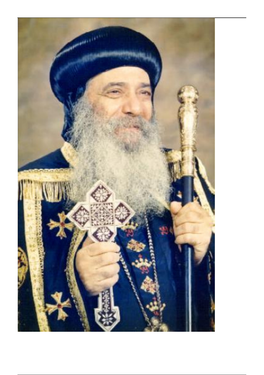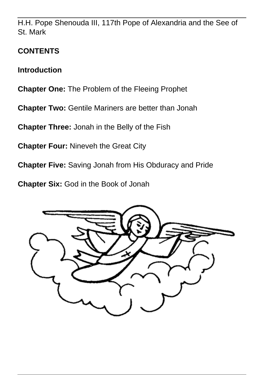H.H. Pope Shenouda III, 117th Pope of Alexandria and the See of St. Mark

#### **CONTENTS**

**Introduction**

**Chapter One:** The Problem of the Fleeing Prophet

**Chapter Two:** Gentile Mariners are better than Jonah

**Chapter Three:** Jonah in the Belly of the Fish

**Chapter Four:** Nineveh the Great City

**Chapter Five:** Saving Jonah from His Obduracy and Pride

**Chapter Six:** God in the Book of Jonah

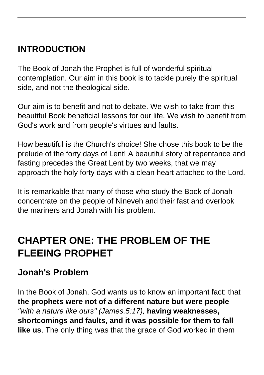# **INTRODUCTION**

The Book of Jonah the Prophet is full of wonderful spiritual contemplation. Our aim in this book is to tackle purely the spiritual side, and not the theological side.

Our aim is to benefit and not to debate. We wish to take from this beautiful Book beneficial lessons for our life. We wish to benefit from God's work and from people's virtues and faults.

How beautiful is the Church's choice! She chose this book to be the prelude of the forty days of Lent! A beautiful story of repentance and fasting precedes the Great Lent by two weeks, that we may approach the holy forty days with a clean heart attached to the Lord.

It is remarkable that many of those who study the Book of Jonah concentrate on the people of Nineveh and their fast and overlook the mariners and Jonah with his problem.

# **CHAPTER ONE: THE PROBLEM OF THE FLEEING PROPHET**

# **Jonah's Problem**

In the Book of Jonah, God wants us to know an important fact: that **the prophets were not of a different nature but were people** "with a nature like ours" (James.5:17), **having weaknesses, shortcomings and faults, and it was possible for them to fall like us**. The only thing was that the grace of God worked in them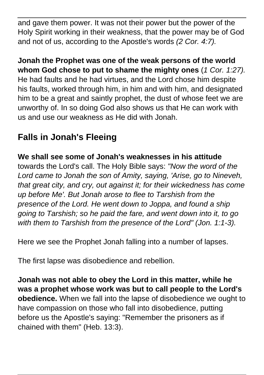and gave them power. It was not their power but the power of the Holy Spirit working in their weakness, that the power may be of God and not of us, according to the Apostle's words (2 Cor. 4:7).

**Jonah the Prophet was one of the weak persons of the world whom God chose to put to shame the mighty ones** (1 Cor. 1:27). He had faults and he had virtues, and the Lord chose him despite his faults, worked through him, in him and with him, and designated him to be a great and saintly prophet, the dust of whose feet we are unworthy of. In so doing God also shows us that He can work with us and use our weakness as He did with Jonah.

# **Falls in Jonah's Fleeing**

**We shall see some of Jonah's weaknesses in his attitude** towards the Lord's call. The Holy Bible says: "Now the word of the Lord came to Jonah the son of Amity, saying, 'Arise, go to Nineveh, that great city, and cry, out against it; for their wickedness has come up before Me'. But Jonah arose to flee to Tarshish from the presence of the Lord. He went down to Joppa, and found a ship going to Tarshish; so he paid the fare, and went down into it, to go with them to Tarshish from the presence of the Lord" (Jon. 1:1-3).

Here we see the Prophet Jonah falling into a number of lapses.

The first lapse was disobedience and rebellion.

**Jonah was not able to obey the Lord in this matter, while he was a prophet whose work was but to call people to the Lord's obedience.** When we fall into the lapse of disobedience we ought to have compassion on those who fall into disobedience, putting before us the Apostle's saying: "Remember the prisoners as if chained with them" (Heb. 13:3).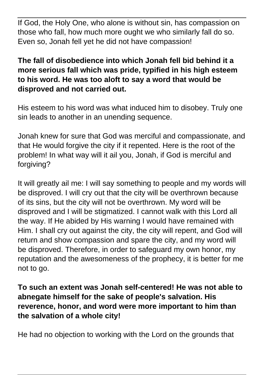If God, the Holy One, who alone is without sin, has compassion on those who fall, how much more ought we who similarly fall do so. Even so, Jonah fell yet he did not have compassion!

**The fall of disobedience into which Jonah fell bid behind it a more serious fall which was pride, typified in his high esteem to his word. He was too aloft to say a word that would be disproved and not carried out.**

His esteem to his word was what induced him to disobey. Truly one sin leads to another in an unending sequence.

Jonah knew for sure that God was merciful and compassionate, and that He would forgive the city if it repented. Here is the root of the problem! In what way will it ail you, Jonah, if God is merciful and forgiving?

It will greatly ail me: I will say something to people and my words will be disproved. I will cry out that the city will be overthrown because of its sins, but the city will not be overthrown. My word will be disproved and I will be stigmatized. I cannot walk with this Lord all the way. If He abided by His warning I would have remained with Him. I shall cry out against the city, the city will repent, and God will return and show compassion and spare the city, and my word will be disproved. Therefore, in order to safeguard my own honor, my reputation and the awesomeness of the prophecy, it is better for me not to go.

# **To such an extent was Jonah self-centered! He was not able to abnegate himself for the sake of people's salvation. His reverence, honor, and word were more important to him than the salvation of a whole city!**

He had no objection to working with the Lord on the grounds that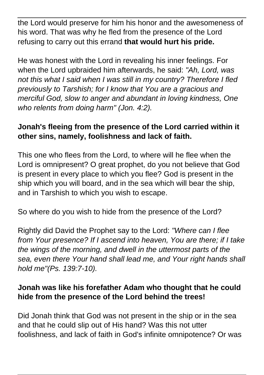the Lord would preserve for him his honor and the awesomeness of his word. That was why he fled from the presence of the Lord refusing to carry out this errand **that would hurt his pride.**

He was honest with the Lord in revealing his inner feelings. For when the Lord upbraided him afterwards, he said: "Ah, Lord, was not this what I said when I was still in my country? Therefore I fled previously to Tarshish; for I know that You are a gracious and merciful God, slow to anger and abundant in loving kindness, One who relents from doing harm" (Jon. 4:2).

# **Jonah's fleeing from the presence of the Lord carried within it other sins, namely, foolishness and lack of faith.**

This one who flees from the Lord, to where will he flee when the Lord is omnipresent? O great prophet, do you not believe that God is present in every place to which you flee? God is present in the ship which you will board, and in the sea which will bear the ship, and in Tarshish to which you wish to escape.

So where do you wish to hide from the presence of the Lord?

Rightly did David the Prophet say to the Lord: "Where can I flee from Your presence? If I ascend into heaven, You are there; if I take the wings of the morning, and dwell in the uttermost parts of the sea, even there Your hand shall lead me, and Your right hands shall hold me"(Ps. 139:7-10).

# **Jonah was like his forefather Adam who thought that he could hide from the presence of the Lord behind the trees!**

Did Jonah think that God was not present in the ship or in the sea and that he could slip out of His hand? Was this not utter foolishness, and lack of faith in God's infinite omnipotence? Or was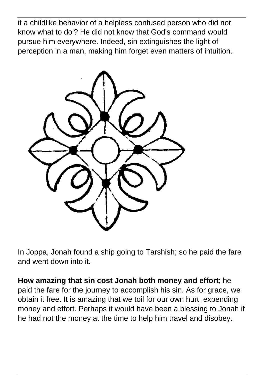it a childlike behavior of a helpless confused person who did not know what to do'? He did not know that God's command would pursue him everywhere. Indeed, sin extinguishes the light of perception in a man, making him forget even matters of intuition.



In Joppa, Jonah found a ship going to Tarshish; so he paid the fare and went down into it.

**How amazing that sin cost Jonah both money and effort**; he paid the fare for the journey to accomplish his sin. As for grace, we obtain it free. It is amazing that we toil for our own hurt, expending money and effort. Perhaps it would have been a blessing to Jonah if he had not the money at the time to help him travel and disobey.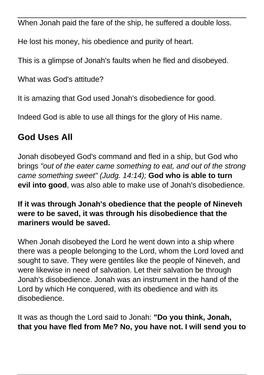When Jonah paid the fare of the ship, he suffered a double loss.

He lost his money, his obedience and purity of heart.

This is a glimpse of Jonah's faults when he fled and disobeyed.

What was God's attitude?

It is amazing that God used Jonah's disobedience for good.

Indeed God is able to use all things for the glory of His name.

# **God Uses All**

Jonah disobeyed God's command and fled in a ship, but God who brings "out of the eater came something to eat, and out of the strong came something sweet" (Judg. 14:14); **God who is able to turn evil into good**, was also able to make use of Jonah's disobedience.

**If it was through Jonah's obedience that the people of Nineveh were to be saved, it was through his disobedience that the mariners would be saved.**

When Jonah disobeyed the Lord he went down into a ship where there was a people belonging to the Lord, whom the Lord loved and sought to save. They were gentiles like the people of Nineveh, and were likewise in need of salvation. Let their salvation be through Jonah's disobedience. Jonah was an instrument in the hand of the Lord by which He conquered, with its obedience and with its disobedience.

It was as though the Lord said to Jonah: **"Do you think, Jonah, that you have fled from Me? No, you have not. I will send you to**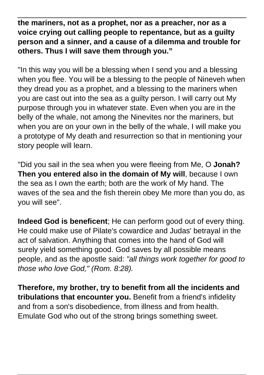**the mariners, not as a prophet, nor as a preacher, nor as a voice crying out calling people to repentance, but as a guilty person and a sinner, and a cause of a dilemma and trouble for others. Thus I will save them through you."**

"In this way you will be a blessing when I send you and a blessing when you flee. You will be a blessing to the people of Nineveh when they dread you as a prophet, and a blessing to the mariners when you are cast out into the sea as a guilty person. I will carry out My purpose through you in whatever state. Even when you are in the belly of the whale, not among the Ninevites nor the mariners, but when you are on your own in the belly of the whale, I will make you a prototype of My death and resurrection so that in mentioning your story people will learn.

"Did you sail in the sea when you were fleeing from Me, O **Jonah? Then you entered also in the domain of My will**, because I own the sea as I own the earth; both are the work of My hand. The waves of the sea and the fish therein obey Me more than you do, as you will see".

**Indeed God is beneficent**; He can perform good out of every thing. He could make use of Pilate's cowardice and Judas' betrayal in the act of salvation. Anything that comes into the hand of God will surely yield something good. God saves by all possible means people, and as the apostle said: "all things work together for good to those who love God," (Rom. 8:28).

**Therefore, my brother, try to benefit from all the incidents and tribulations that encounter you.** Benefit from a friend's infidelity and from a son's disobedience, from illness and from health. Emulate God who out of the strong brings something sweet.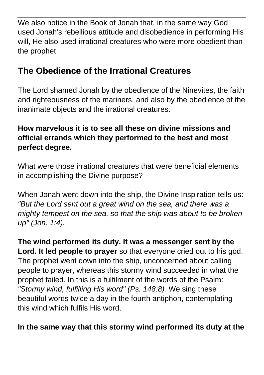We also notice in the Book of Jonah that, in the same way God used Jonah's rebellious attitude and disobedience in performing His will. He also used irrational creatures who were more obedient than the prophet.

# **The Obedience of the Irrational Creatures**

The Lord shamed Jonah by the obedience of the Ninevites, the faith and righteousness of the mariners, and also by the obedience of the inanimate objects and the irrational creatures.

# **How marvelous it is to see all these on divine missions and official errands which they performed to the best and most perfect degree.**

What were those irrational creatures that were beneficial elements in accomplishing the Divine purpose?

When Jonah went down into the ship, the Divine Inspiration tells us: "But the Lord sent out a great wind on the sea, and there was a mighty tempest on the sea, so that the ship was about to be broken up" (Jon. 1:4).

**The wind performed its duty. It was a messenger sent by the Lord. It led people to prayer** so that everyone cried out to his god. The prophet went down into the ship, unconcerned about calling people to prayer, whereas this stormy wind succeeded in what the prophet failed. In this is a fulfilment of the words of the Psalm: "Stormy wind, fulfilling His word" (Ps. 148:8). We sing these beautiful words twice a day in the fourth antiphon, contemplating this wind which fulfils His word.

# **In the same way that this stormy wind performed its duty at the**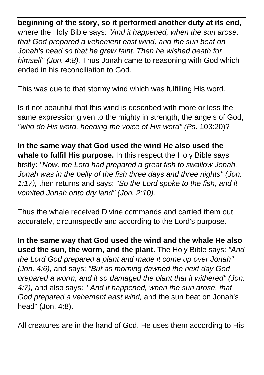**beginning of the story, so it performed another duty at its end,** where the Holy Bible says: "And it happened, when the sun arose, that God prepared a vehement east wind, and the sun beat on Jonah's head so that he grew faint. Then he wished death for himself" (Jon. 4:8). Thus Jonah came to reasoning with God which ended in his reconciliation to God.

This was due to that stormy wind which was fulfilling His word.

Is it not beautiful that this wind is described with more or less the same expression given to the mighty in strength, the angels of God, "who do His word, heeding the voice of His word" (Ps. 103:20)?

**In the same way that God used the wind He also used the whale to fulfil His purpose.** In this respect the Holy Bible says firstly: "Now, the Lord had prepared a great fish to swallow Jonah. Jonah was in the belly of the fish three days and three nights" (Jon. 1:17), then returns and says: "So the Lord spoke to the fish, and it vomited Jonah onto dry land" (Jon. 2:10).

Thus the whale received Divine commands and carried them out accurately, circumspectly and according to the Lord's purpose.

**In the same way that God used the wind and the whale He also used the sun, the worm, and the plant.** The Holy Bible says: "And the Lord God prepared a plant and made it come up over Jonah" (Jon. 4:6), and says: "But as morning dawned the next day God prepared a worm, and it so damaged the plant that it withered" (Jon. 4:7), and also says: " And it happened, when the sun arose, that God prepared a vehement east wind, and the sun beat on Jonah's head" (Jon. 4:8).

All creatures are in the hand of God. He uses them according to His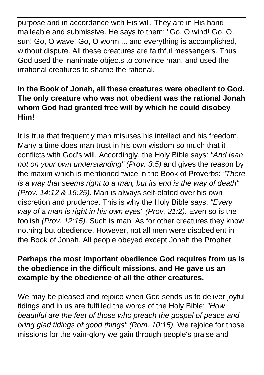purpose and in accordance with His will. They are in His hand malleable and submissive. He says to them: "Go, O wind! Go, O sun! Go, O wave! Go, O worm!... and everything is accomplished, without dispute. All these creatures are faithful messengers. Thus God used the inanimate objects to convince man, and used the irrational creatures to shame the rational.

# **In the Book of Jonah, all these creatures were obedient to God. The only creature who was not obedient was the rational Jonah whom God had granted free will by which he could disobey Him!**

It is true that frequently man misuses his intellect and his freedom. Many a time does man trust in his own wisdom so much that it conflicts with God's will. Accordingly, the Holy Bible says: "And lean not on your own understanding" (Prov. 3:5) and gives the reason by the maxim which is mentioned twice in the Book of Proverbs: "There is a way that seems right to a man, but its end is the way of death" (Prov. 14:12 & 16:25). Man is always self-elated over his own discretion and prudence. This is why the Holy Bible says: "Every way of a man is right in his own eyes" (Prov. 21:2). Even so is the foolish (Prov. 12:15). Such is man. As for other creatures they know nothing but obedience. However, not all men were disobedient in the Book of Jonah. All people obeyed except Jonah the Prophet!

# **Perhaps the most important obedience God requires from us is the obedience in the difficult missions, and He gave us an example by the obedience of all the other creatures.**

We may be pleased and rejoice when God sends us to deliver joyful tidings and in us are fulfilled the words of the Holy Bible: "How beautiful are the feet of those who preach the gospel of peace and bring glad tidings of good things" (Rom. 10:15). We rejoice for those missions for the vain-glory we gain through people's praise and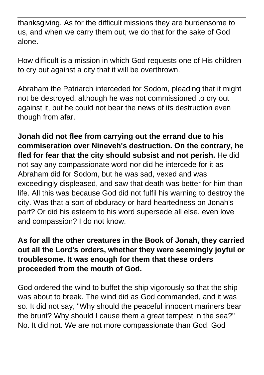thanksgiving. As for the difficult missions they are burdensome to us, and when we carry them out, we do that for the sake of God alone.

How difficult is a mission in which God requests one of His children to cry out against a city that it will be overthrown.

Abraham the Patriarch interceded for Sodom, pleading that it might not be destroyed, although he was not commissioned to cry out against it, but he could not bear the news of its destruction even though from afar.

**Jonah did not flee from carrying out the errand due to his commiseration over Nineveh's destruction. On the contrary, he fled for fear that the city should subsist and not perish.** He did not say any compassionate word nor did he intercede for it as Abraham did for Sodom, but he was sad, vexed and was exceedingly displeased, and saw that death was better for him than life. All this was because God did not fulfil his warning to destroy the city. Was that a sort of obduracy or hard heartedness on Jonah's part? Or did his esteem to his word supersede all else, even love and compassion? I do not know.

# **As for all the other creatures in the Book of Jonah, they carried out all the Lord's orders, whether they were seemingly joyful or troublesome. It was enough for them that these orders proceeded from the mouth of God.**

God ordered the wind to buffet the ship vigorously so that the ship was about to break. The wind did as God commanded, and it was so. It did not say, "Why should the peaceful innocent mariners bear the brunt? Why should I cause them a great tempest in the sea?" No. It did not. We are not more compassionate than God. God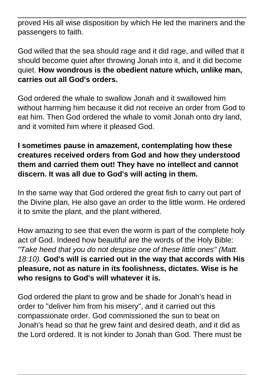proved His all wise disposition by which He led the mariners and the passengers to faith.

God willed that the sea should rage and it did rage, and willed that it should become quiet after throwing Jonah into it, and it did become quiet. **How wondrous is the obedient nature which, unlike man, carries out all God's orders.**

God ordered the whale to swallow Jonah and it swallowed him without harming him because it did not receive an order from God to eat him. Then God ordered the whale to vomit Jonah onto dry land, and it vomited him where it pleased God.

# **I sometimes pause in amazement, contemplating how these creatures received orders from God and how they understood them and carried them out! They have no intellect and cannot discern. It was all due to God's will acting in them.**

In the same way that God ordered the great fish to carry out part of the Divine plan, He also gave an order to the little worm. He ordered it to smite the plant, and the plant withered.

How amazing to see that even the worm is part of the complete holy act of God. Indeed how beautiful are the words of the Holy Bible: "Take heed that you do not despise one of these little ones" (Matt. 18:10). **God's will is carried out in the way that accords with His pleasure, not as nature in its foolishness, dictates. Wise is he who resigns to God's will whatever it is.**

God ordered the plant to grow and be shade for Jonah's head in order to "deliver him from his misery", and it carried out this compassionate order. God commissioned the sun to beat on Jonah's head so that he grew faint and desired death, and it did as the Lord ordered. It is not kinder to Jonah than God. There must be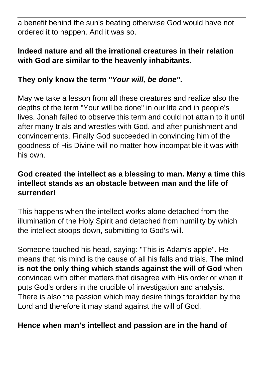a benefit behind the sun's beating otherwise God would have not ordered it to happen. And it was so.

# **Indeed nature and all the irrational creatures in their relation with God are similar to the heavenly inhabitants.**

#### **They only know the term "Your will, be done".**

May we take a lesson from all these creatures and realize also the depths of the term "Your will be done" in our life and in people's lives. Jonah failed to observe this term and could not attain to it until after many trials and wrestles with God, and after punishment and convincements. Finally God succeeded in convincing him of the goodness of His Divine will no matter how incompatible it was with his own.

# **God created the intellect as a blessing to man. Many a time this intellect stands as an obstacle between man and the life of surrender!**

This happens when the intellect works alone detached from the illumination of the Holy Spirit and detached from humility by which the intellect stoops down, submitting to God's will.

Someone touched his head, saying: "This is Adam's apple". He means that his mind is the cause of all his falls and trials. **The mind is not the only thing which stands against the will of God** when convinced with other matters that disagree with His order or when it puts God's orders in the crucible of investigation and analysis. There is also the passion which may desire things forbidden by the Lord and therefore it may stand against the will of God.

#### **Hence when man's intellect and passion are in the hand of**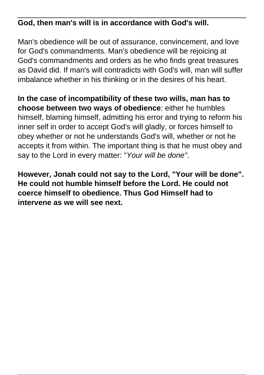#### **God, then man's will is in accordance with God's will.**

Man's obedience will be out of assurance, convincement, and love for God's commandments. Man's obedience will be rejoicing at God's commandments and orders as he who finds great treasures as David did. If man's will contradicts with God's will, man will suffer imbalance whether in his thinking or in the desires of his heart.

**In the case of incompatibility of these two wills, man has to choose between two ways of obedience**: either he humbles himself, blaming himself, admitting his error and trying to reform his inner self in order to accept God's will gladly, or forces himself to obey whether or not he understands God's will, whether or not he accepts it from within. The important thing is that he must obey and sav to the Lord in every matter: "Your will be done".

**However, Jonah could not say to the Lord, "Your will be done". He could not humble himself before the Lord. He could not coerce himself to obedience. Thus God Himself had to intervene as we will see next.**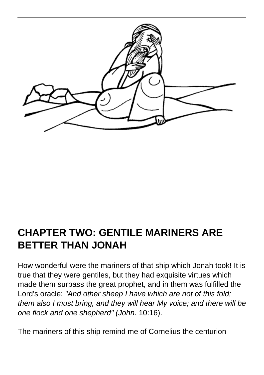

# **CHAPTER TWO: GENTILE MARINERS ARE BETTER THAN JONAH**

How wonderful were the mariners of that ship which Jonah took! It is true that they were gentiles, but they had exquisite virtues which made them surpass the great prophet, and in them was fulfilled the Lord's oracle: "And other sheep I have which are not of this fold; them also I must bring, and they will hear My voice; and there will be one flock and one shepherd" (John. 10:16).

The mariners of this ship remind me of Cornelius the centurion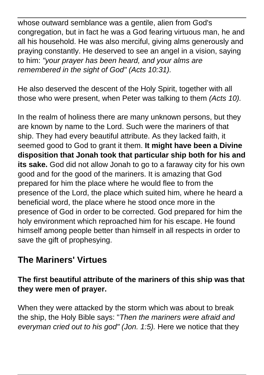whose outward semblance was a gentile, alien from God's congregation, but in fact he was a God fearing virtuous man, he and all his household. He was also merciful, giving alms generously and praying constantly. He deserved to see an angel in a vision, saying to him: "your prayer has been heard, and your alms are remembered in the sight of God" (Acts 10:31).

He also deserved the descent of the Holy Spirit, together with all those who were present, when Peter was talking to them (Acts 10).

In the realm of holiness there are many unknown persons, but they are known by name to the Lord. Such were the mariners of that ship. They had every beautiful attribute. As they lacked faith, it seemed good to God to grant it them. **It might have been a Divine disposition that Jonah took that particular ship both for his and its sake.** God did not allow Jonah to go to a faraway city for his own good and for the good of the mariners. It is amazing that God prepared for him the place where he would flee to from the presence of the Lord, the place which suited him, where he heard a beneficial word, the place where he stood once more in the presence of God in order to be corrected. God prepared for him the holy environment which reproached him for his escape. He found himself among people better than himself in all respects in order to save the gift of prophesying.

# **The Mariners' Virtues**

# **The first beautiful attribute of the mariners of this ship was that they were men of prayer.**

When they were attacked by the storm which was about to break the ship, the Holy Bible says: "Then the mariners were afraid and everyman cried out to his god" (Jon. 1:5). Here we notice that they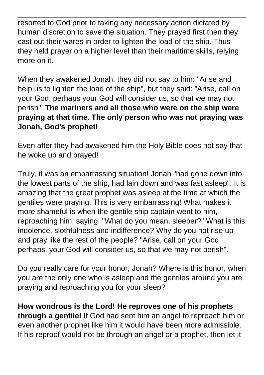resorted to God prior to taking any necessary action dictated by human discretion to save the situation. They prayed first then they cast out their wares in order to lighten the load of the ship. Thus they held prayer on a higher level than their maritime skills, relying more on it.

When they awakened Jonah, they did not say to him: "Arise and help us to lighten the load of the ship", but they said: "Arise, call on your God, perhaps your God will consider us, so that we may not perish". **The mariners and all those who were on the ship were praying at that time. The only person who was not praying was Jonah, God's prophet!**

Even after they had awakened him the Holy Bible does not say that he woke up and prayed!

Truly, it was an embarrassing situation! Jonah "had gone down into the lowest parts of the ship, had lain down and was fast asleep". It is amazing that the great prophet was asleep at the time at which the gentiles were praying. This is very embarrassing! What makes it more shameful is when the gentile ship captain went to him, reproaching him, saying: "What do you mean, sleeper?" What is this indolence, slothfulness and indifference? Why do you not rise up and pray like the rest of the people? "Arise, call on your God perhaps, your God will consider us, so that we may not perish".

Do you really care for your honor, Jonah? Where is this honor, when you are the only one who is asleep and the gentiles around you are praying and reproaching you for your sleep?

**How wondrous is the Lord! He reproves one of his prophets through a gentile!** If God had sent him an angel to reproach him or even another prophet like him it would have been more admissible. If his reproof would not be through an angel or a prophet, then let it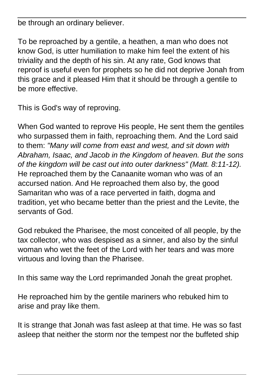be through an ordinary believer.

To be reproached by a gentile, a heathen, a man who does not know God, is utter humiliation to make him feel the extent of his triviality and the depth of his sin. At any rate, God knows that reproof is useful even for prophets so he did not deprive Jonah from this grace and it pleased Him that it should be through a gentile to be more effective.

This is God's way of reproving.

When God wanted to reprove His people, He sent them the gentiles who surpassed them in faith, reproaching them. And the Lord said to them: "Many will come from east and west, and sit down with Abraham, Isaac, and Jacob in the Kingdom of heaven. But the sons of the kingdom will be cast out into outer darkness" (Matt. 8:11-12). He reproached them by the Canaanite woman who was of an accursed nation. And He reproached them also by, the good Samaritan who was of a race perverted in faith, dogma and tradition, yet who became better than the priest and the Levite, the servants of God.

God rebuked the Pharisee, the most conceited of all people, by the tax collector, who was despised as a sinner, and also by the sinful woman who wet the feet of the Lord with her tears and was more virtuous and loving than the Pharisee.

In this same way the Lord reprimanded Jonah the great prophet.

He reproached him by the gentile mariners who rebuked him to arise and pray like them.

It is strange that Jonah was fast asleep at that time. He was so fast asleep that neither the storm nor the tempest nor the buffeted ship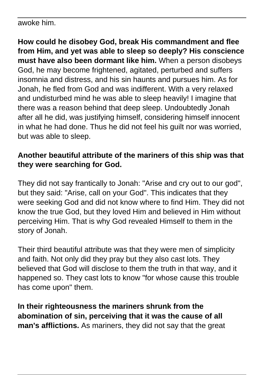#### awoke him.

**How could he disobey God, break His commandment and flee from Him, and yet was able to sleep so deeply? His conscience must have also been dormant like him.** When a person disobeys God, he may become frightened, agitated, perturbed and suffers insomnia and distress, and his sin haunts and pursues him. As for Jonah, he fled from God and was indifferent. With a very relaxed and undisturbed mind he was able to sleep heavily! I imagine that there was a reason behind that deep sleep. Undoubtedly Jonah after all he did, was justifying himself, considering himself innocent in what he had done. Thus he did not feel his guilt nor was worried, but was able to sleep.

# **Another beautiful attribute of the mariners of this ship was that they were searching for God.**

They did not say frantically to Jonah: "Arise and cry out to our god", but they said: "Arise, call on your God". This indicates that they were seeking God and did not know where to find Him. They did not know the true God, but they loved Him and believed in Him without perceiving Him. That is why God revealed Himself to them in the story of Jonah.

Their third beautiful attribute was that they were men of simplicity and faith. Not only did they pray but they also cast lots. They believed that God will disclose to them the truth in that way, and it happened so. They cast lots to know "for whose cause this trouble has come upon" them.

**In their righteousness the mariners shrunk from the abomination of sin, perceiving that it was the cause of all man's afflictions.** As mariners, they did not say that the great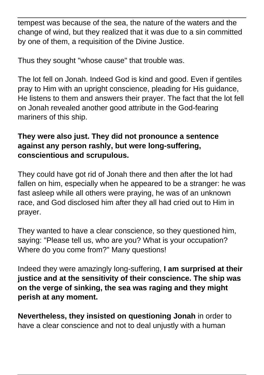tempest was because of the sea, the nature of the waters and the change of wind, but they realized that it was due to a sin committed by one of them, a requisition of the Divine Justice.

Thus they sought "whose cause" that trouble was.

The lot fell on Jonah. Indeed God is kind and good. Even if gentiles pray to Him with an upright conscience, pleading for His guidance, He listens to them and answers their prayer. The fact that the lot fell on Jonah revealed another good attribute in the God-fearing mariners of this ship.

# **They were also just. They did not pronounce a sentence against any person rashly, but were long-suffering, conscientious and scrupulous.**

They could have got rid of Jonah there and then after the lot had fallen on him, especially when he appeared to be a stranger: he was fast asleep while all others were praying, he was of an unknown race, and God disclosed him after they all had cried out to Him in prayer.

They wanted to have a clear conscience, so they questioned him, saying: "Please tell us, who are you? What is your occupation? Where do you come from?" Many questions!

Indeed they were amazingly long-suffering, **I am surprised at their justice and at the sensitivity of their conscience. The ship was on the verge of sinking, the sea was raging and they might perish at any moment.**

**Nevertheless, they insisted on questioning Jonah** in order to have a clear conscience and not to deal unjustly with a human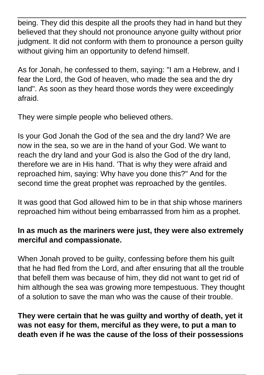being. They did this despite all the proofs they had in hand but they believed that they should not pronounce anyone guilty without prior judgment. It did not conform with them to pronounce a person quilty without giving him an opportunity to defend himself.

As for Jonah, he confessed to them, saying: "I am a Hebrew, and I fear the Lord, the God of heaven, who made the sea and the dry land". As soon as they heard those words they were exceedingly afraid.

They were simple people who believed others.

Is your God Jonah the God of the sea and the dry land? We are now in the sea, so we are in the hand of your God. We want to reach the dry land and your God is also the God of the dry land, therefore we are in His hand. 'That is why they were afraid and reproached him, saying: Why have you done this?" And for the second time the great prophet was reproached by the gentiles.

It was good that God allowed him to be in that ship whose mariners reproached him without being embarrassed from him as a prophet.

# **In as much as the mariners were just, they were also extremely merciful and compassionate.**

When Jonah proved to be guilty, confessing before them his guilt that he had fled from the Lord, and after ensuring that all the trouble that befell them was because of him, they did not want to get rid of him although the sea was growing more tempestuous. They thought of a solution to save the man who was the cause of their trouble.

**They were certain that he was guilty and worthy of death, yet it was not easy for them, merciful as they were, to put a man to death even if he was the cause of the loss of their possessions**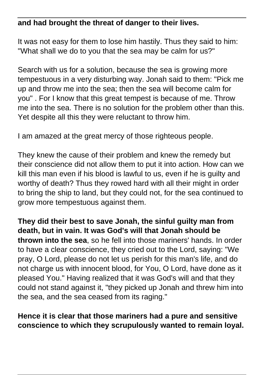#### **and had brought the threat of danger to their lives.**

It was not easy for them to lose him hastily. Thus they said to him: "What shall we do to you that the sea may be calm for us?"

Search with us for a solution, because the sea is growing more tempestuous in a very disturbing way. Jonah said to them: "Pick me up and throw me into the sea; then the sea will become calm for you" . For I know that this great tempest is because of me. Throw me into the sea. There is no solution for the problem other than this. Yet despite all this they were reluctant to throw him.

I am amazed at the great mercy of those righteous people.

They knew the cause of their problem and knew the remedy but their conscience did not allow them to put it into action. How can we kill this man even if his blood is lawful to us, even if he is guilty and worthy of death? Thus they rowed hard with all their might in order to bring the ship to land, but they could not, for the sea continued to grow more tempestuous against them.

**They did their best to save Jonah, the sinful guilty man from death, but in vain. It was God's will that Jonah should be thrown into the sea**, so he fell into those mariners' hands. In order to have a clear conscience, they cried out to the Lord, saying: "We pray, O Lord, please do not let us perish for this man's life, and do not charge us with innocent blood, for You, O Lord, have done as it pleased You." Having realized that it was God's will and that they could not stand against it, "they picked up Jonah and threw him into the sea, and the sea ceased from its raging."

# **Hence it is clear that those mariners had a pure and sensitive conscience to which they scrupulously wanted to remain loyal.**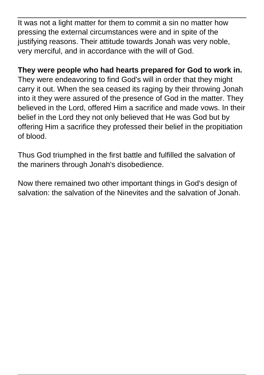It was not a light matter for them to commit a sin no matter how pressing the external circumstances were and in spite of the justifying reasons. Their attitude towards Jonah was very noble. very merciful, and in accordance with the will of God.

#### **They were people who had hearts prepared for God to work in.**

They were endeavoring to find God's will in order that they might carry it out. When the sea ceased its raging by their throwing Jonah into it they were assured of the presence of God in the matter. They believed in the Lord, offered Him a sacrifice and made vows. In their belief in the Lord they not only believed that He was God but by offering Him a sacrifice they professed their belief in the propitiation of blood.

Thus God triumphed in the first battle and fulfilled the salvation of the mariners through Jonah's disobedience.

Now there remained two other important things in God's design of salvation: the salvation of the Ninevites and the salvation of Jonah.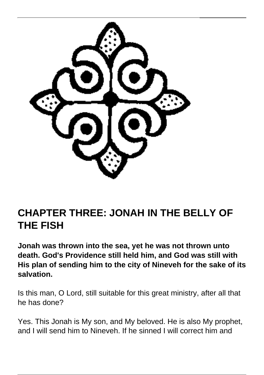

# **CHAPTER THREE: JONAH IN THE BELLY OF THE FISH**

**Jonah was thrown into the sea, yet he was not thrown unto death. God's Providence still held him, and God was still with His plan of sending him to the city of Nineveh for the sake of its salvation.**

Is this man, O Lord, still suitable for this great ministry, after all that he has done?

Yes. This Jonah is My son, and My beloved. He is also My prophet, and I will send him to Nineveh. If he sinned I will correct him and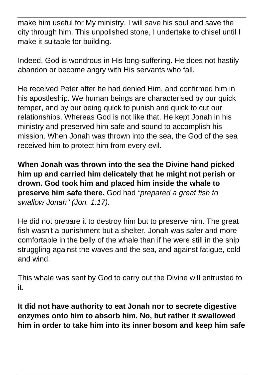make him useful for My ministry. I will save his soul and save the city through him. This unpolished stone, I undertake to chisel until I make it suitable for building.

Indeed, God is wondrous in His long-suffering. He does not hastily abandon or become angry with His servants who fall.

He received Peter after he had denied Him, and confirmed him in his apostleship. We human beings are characterised by our quick temper, and by our being quick to punish and quick to cut our relationships. Whereas God is not like that. He kept Jonah in his ministry and preserved him safe and sound to accomplish his mission. When Jonah was thrown into the sea, the God of the sea received him to protect him from every evil.

**When Jonah was thrown into the sea the Divine hand picked him up and carried him delicately that he might not perish or drown. God took him and placed him inside the whale to preserve him safe there.** God had "prepared a great fish to swallow Jonah" (Jon. 1:17).

He did not prepare it to destroy him but to preserve him. The great fish wasn't a punishment but a shelter. Jonah was safer and more comfortable in the belly of the whale than if he were still in the ship struggling against the waves and the sea, and against fatigue, cold and wind.

This whale was sent by God to carry out the Divine will entrusted to it.

**It did not have authority to eat Jonah nor to secrete digestive enzymes onto him to absorb him. No, but rather it swallowed him in order to take him into its inner bosom and keep him safe**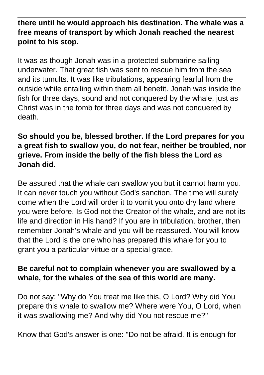**there until he would approach his destination. The whale was a free means of transport by which Jonah reached the nearest point to his stop.**

It was as though Jonah was in a protected submarine sailing underwater. That great fish was sent to rescue him from the sea and its tumults. It was like tribulations, appearing fearful from the outside while entailing within them all benefit. Jonah was inside the fish for three days, sound and not conquered by the whale, just as Christ was in the tomb for three days and was not conquered by death.

# **So should you be, blessed brother. If the Lord prepares for you a great fish to swallow you, do not fear, neither be troubled, nor grieve. From inside the belly of the fish bless the Lord as Jonah did.**

Be assured that the whale can swallow you but it cannot harm you. It can never touch you without God's sanction. The time will surely come when the Lord will order it to vomit you onto dry land where you were before. Is God not the Creator of the whale, and are not its life and direction in His hand? If you are in tribulation, brother, then remember Jonah's whale and you will be reassured. You will know that the Lord is the one who has prepared this whale for you to grant you a particular virtue or a special grace.

# **Be careful not to complain whenever you are swallowed by a whale, for the whales of the sea of this world are many.**

Do not say: "Why do You treat me like this, O Lord? Why did You prepare this whale to swallow me? Where were You, O Lord, when it was swallowing me? And why did You not rescue me?"

Know that God's answer is one: "Do not be afraid. It is enough for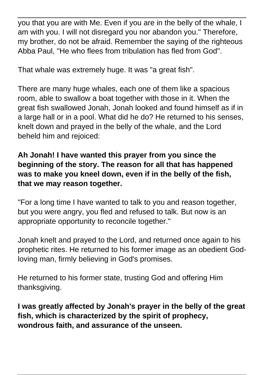you that you are with Me. Even if you are in the belly of the whale, I am with you. I will not disregard you nor abandon you." Therefore, my brother, do not be afraid. Remember the saying of the righteous Abba Paul, "He who flees from tribulation has fled from God".

That whale was extremely huge. It was "a great fish".

There are many huge whales, each one of them like a spacious room, able to swallow a boat together with those in it. When the great fish swallowed Jonah, Jonah looked and found himself as if in a large hall or in a pool. What did he do? He returned to his senses, knelt down and prayed in the belly of the whale, and the Lord beheld him and rejoiced:

**Ah Jonah! I have wanted this prayer from you since the beginning of the story. The reason for all that has happened was to make you kneel down, even if in the belly of the fish, that we may reason together.**

"For a long time I have wanted to talk to you and reason together, but you were angry, you fled and refused to talk. But now is an appropriate opportunity to reconcile together."

Jonah knelt and prayed to the Lord, and returned once again to his prophetic rites. He returned to his former image as an obedient Godloving man, firmly believing in God's promises.

He returned to his former state, trusting God and offering Him thanksgiving.

**I was greatly affected by Jonah's prayer in the belly of the great fish, which is characterized by the spirit of prophecy, wondrous faith, and assurance of the unseen.**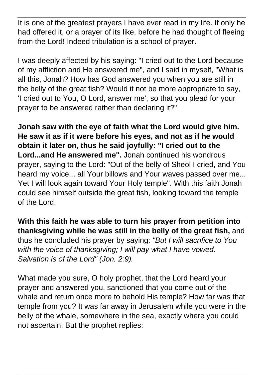It is one of the greatest prayers I have ever read in my life. If only he had offered it, or a prayer of its like, before he had thought of fleeing from the Lord! Indeed tribulation is a school of prayer.

I was deeply affected by his saying: "I cried out to the Lord because of my affliction and He answered me", and I said in myself, "What is all this, Jonah? How has God answered you when you are still in the belly of the great fish? Would it not be more appropriate to say, 'I cried out to You, O Lord, answer me', so that you plead for your prayer to be answered rather than declaring it?"

**Jonah saw with the eye of faith what the Lord would give him. He saw it as if it were before his eyes, and not as if he would obtain it later on, thus he said joyfully: "I cried out to the Lord...and He answered me".** Jonah continued his wondrous prayer, saying to the Lord: "Out of the belly of Sheol I cried, and You heard my voice... all Your billows and Your waves passed over me... Yet I will look again toward Your Holy temple". With this faith Jonah could see himself outside the great fish, looking toward the temple of the Lord.

**With this faith he was able to turn his prayer from petition into thanksgiving while he was still in the belly of the great fish,** and thus he concluded his prayer by saying: "But I will sacrifice to You with the voice of thanksgiving; I will pay what I have vowed. Salvation is of the Lord" (Jon. 2:9).

What made you sure, O holy prophet, that the Lord heard your prayer and answered you, sanctioned that you come out of the whale and return once more to behold His temple? How far was that temple from you? It was far away in Jerusalem while you were in the belly of the whale, somewhere in the sea, exactly where you could not ascertain. But the prophet replies: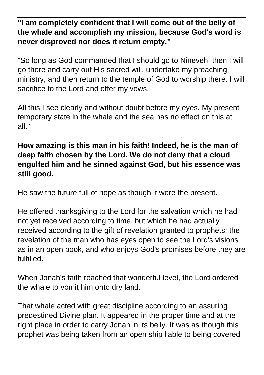**"I am completely confident that I will come out of the belly of the whale and accomplish my mission, because God's word is never disproved nor does it return empty."**

"So long as God commanded that I should go to Nineveh, then I will go there and carry out His sacred will, undertake my preaching ministry, and then return to the temple of God to worship there. I will sacrifice to the Lord and offer my vows.

All this I see clearly and without doubt before my eyes. My present temporary state in the whale and the sea has no effect on this at all."

**How amazing is this man in his faith! Indeed, he is the man of deep faith chosen by the Lord. We do not deny that a cloud engulfed him and he sinned against God, but his essence was still good.**

He saw the future full of hope as though it were the present.

He offered thanksgiving to the Lord for the salvation which he had not yet received according to time, but which he had actually received according to the gift of revelation granted to prophets; the revelation of the man who has eyes open to see the Lord's visions as in an open book, and who enjoys God's promises before they are fulfilled.

When Jonah's faith reached that wonderful level, the Lord ordered the whale to vomit him onto dry land.

That whale acted with great discipline according to an assuring predestined Divine plan. It appeared in the proper time and at the right place in order to carry Jonah in its belly. It was as though this prophet was being taken from an open ship liable to being covered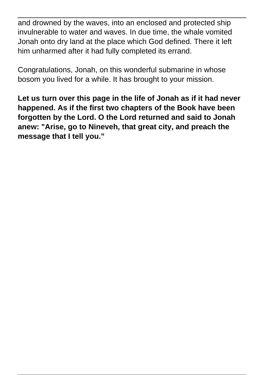and drowned by the waves, into an enclosed and protected ship invulnerable to water and waves. In due time, the whale vomited Jonah onto dry land at the place which God defined. There it left him unharmed after it had fully completed its errand.

Congratulations, Jonah, on this wonderful submarine in whose bosom you lived for a while. It has brought to your mission.

**Let us turn over this page in the life of Jonah as if it had never happened. As if the first two chapters of the Book have been forgotten by the Lord. O the Lord returned and said to Jonah anew: "Arise, go to Nineveh, that great city, and preach the message that I tell you."**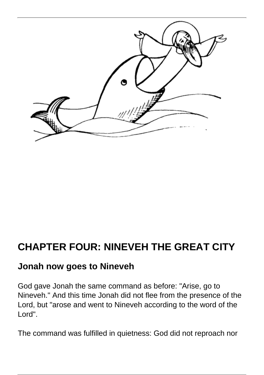

# **CHAPTER FOUR: NINEVEH THE GREAT CITY**

### **Jonah now goes to Nineveh**

God gave Jonah the same command as before: "Arise, go to Nineveh." And this time Jonah did not flee from the presence of the Lord, but "arose and went to Nineveh according to the word of the Lord".

The command was fulfilled in quietness: God did not reproach nor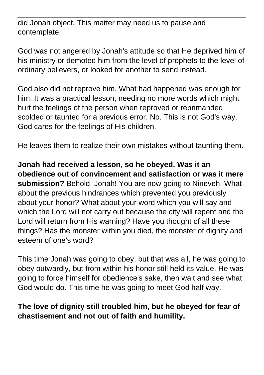did Jonah object. This matter may need us to pause and contemplate.

God was not angered by Jonah's attitude so that He deprived him of his ministry or demoted him from the level of prophets to the level of ordinary believers, or looked for another to send instead.

God also did not reprove him. What had happened was enough for him. It was a practical lesson, needing no more words which might hurt the feelings of the person when reproved or reprimanded, scolded or taunted for a previous error. No. This is not God's way. God cares for the feelings of His children.

He leaves them to realize their own mistakes without taunting them.

**Jonah had received a lesson, so he obeyed. Was it an obedience out of convincement and satisfaction or was it mere submission?** Behold, Jonah! You are now going to Nineveh. What about the previous hindrances which prevented you previously about your honor? What about your word which you will say and which the Lord will not carry out because the city will repent and the Lord will return from His warning? Have you thought of all these things? Has the monster within you died, the monster of dignity and esteem of one's word?

This time Jonah was going to obey, but that was all, he was going to obey outwardly, but from within his honor still held its value. He was going to force himself for obedience's sake, then wait and see what God would do. This time he was going to meet God half way.

### **The love of dignity still troubled him, but he obeyed for fear of chastisement and not out of faith and humility.**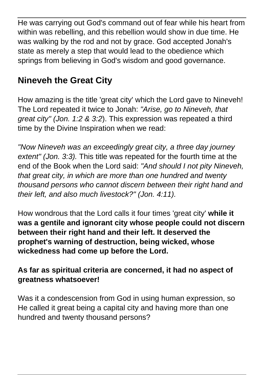He was carrying out God's command out of fear while his heart from within was rebelling, and this rebellion would show in due time. He was walking by the rod and not by grace. God accepted Jonah's state as merely a step that would lead to the obedience which springs from believing in God's wisdom and good governance.

# **Nineveh the Great City**

How amazing is the title 'great city' which the Lord gave to Nineveh! The Lord repeated it twice to Jonah: "Arise, go to Nineveh, that great city" (Jon. 1:2 & 3:2). This expression was repeated a third time by the Divine Inspiration when we read:

"Now Nineveh was an exceedingly great city, a three day journey extent" (Jon. 3:3). This title was repeated for the fourth time at the end of the Book when the Lord said: "And should I not pity Nineveh, that great city, in which are more than one hundred and twenty thousand persons who cannot discern between their right hand and their left, and also much livestock?" (Jon. 4:11).

How wondrous that the Lord calls it four times 'great city' **while it was a gentile and ignorant city whose people could not discern between their right hand and their left. It deserved the prophet's warning of destruction, being wicked, whose wickedness had come up before the Lord.**

### **As far as spiritual criteria are concerned, it had no aspect of greatness whatsoever!**

Was it a condescension from God in using human expression, so He called it great being a capital city and having more than one hundred and twenty thousand persons?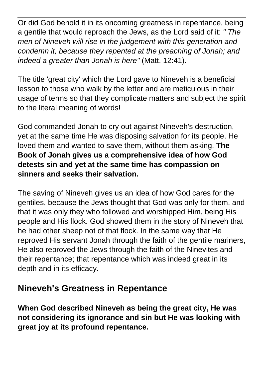Or did God behold it in its oncoming greatness in repentance, being a gentile that would reproach the Jews, as the Lord said of it: " The men of Nineveh will rise in the judgement with this generation and condemn it, because they repented at the preaching of Jonah; and indeed a greater than Jonah is here" (Matt. 12:41).

The title 'great city' which the Lord gave to Nineveh is a beneficial lesson to those who walk by the letter and are meticulous in their usage of terms so that they complicate matters and subject the spirit to the literal meaning of words!

God commanded Jonah to cry out against Nineveh's destruction, yet at the same time He was disposing salvation for its people. He loved them and wanted to save them, without them asking. **The Book of Jonah gives us a comprehensive idea of how God detests sin and yet at the same time has compassion on sinners and seeks their salvation.**

The saving of Nineveh gives us an idea of how God cares for the gentiles, because the Jews thought that God was only for them, and that it was only they who followed and worshipped Him, being His people and His flock. God showed them in the story of Nineveh that he had other sheep not of that flock. In the same way that He reproved His servant Jonah through the faith of the gentile mariners, He also reproved the Jews through the faith of the Ninevites and their repentance; that repentance which was indeed great in its depth and in its efficacy.

## **Nineveh's Greatness in Repentance**

**When God described Nineveh as being the great city, He was not considering its ignorance and sin but He was looking with great joy at its profound repentance.**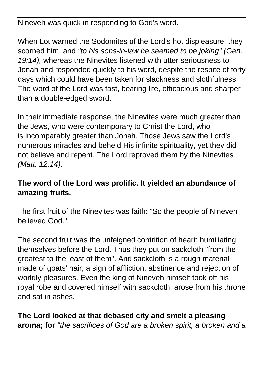Nineveh was quick in responding to God's word.

When Lot warned the Sodomites of the Lord's hot displeasure, they scorned him, and "to his sons-in-law he seemed to be joking" (Gen. 19:14), whereas the Ninevites listened with utter seriousness to Jonah and responded quickly to his word, despite the respite of forty days which could have been taken for slackness and slothfulness. The word of the Lord was fast, bearing life, efficacious and sharper than a double-edged sword.

In their immediate response, the Ninevites were much greater than the Jews, who were contemporary to Christ the Lord, who is incomparably greater than Jonah. Those Jews saw the Lord's numerous miracles and beheld His infinite spirituality, yet they did not believe and repent. The Lord reproved them by the Ninevites (Matt. 12:14).

#### **The word of the Lord was prolific. It yielded an abundance of amazing fruits.**

The first fruit of the Ninevites was faith: "So the people of Nineveh believed God."

The second fruit was the unfeigned contrition of heart; humiliating themselves before the Lord. Thus they put on sackcloth "from the greatest to the least of them". And sackcloth is a rough material made of goats' hair; a sign of affliction, abstinence and rejection of worldly pleasures. Even the king of Nineveh himself took off his royal robe and covered himself with sackcloth, arose from his throne and sat in ashes.

**The Lord looked at that debased city and smelt a pleasing aroma; for** "the sacrifices of God are a broken spirit, a broken and a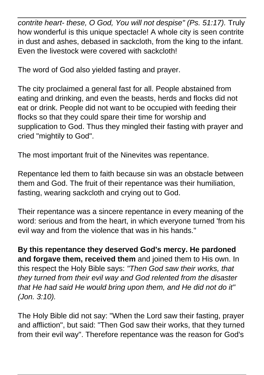contrite heart- these, O God, You will not despise" (Ps. 51:17). Truly how wonderful is this unique spectacle! A whole city is seen contrite in dust and ashes, debased in sackcloth, from the king to the infant. Even the livestock were covered with sackcloth!

The word of God also yielded fasting and prayer.

The city proclaimed a general fast for all. People abstained from eating and drinking, and even the beasts, herds and flocks did not eat or drink. People did not want to be occupied with feeding their flocks so that they could spare their time for worship and supplication to God. Thus they mingled their fasting with prayer and cried "mightily to God".

The most important fruit of the Ninevites was repentance.

Repentance led them to faith because sin was an obstacle between them and God. The fruit of their repentance was their humiliation, fasting, wearing sackcloth and crying out to God.

Their repentance was a sincere repentance in every meaning of the word: serious and from the heart, in which everyone turned 'from his evil way and from the violence that was in his hands."

**By this repentance they deserved God's mercy. He pardoned and forgave them, received them** and joined them to His own. In this respect the Holy Bible says: "Then God saw their works, that they turned from their evil way and God relented from the disaster that He had said He would bring upon them, and He did not do it" (Jon. 3:10).

The Holy Bible did not say: "When the Lord saw their fasting, prayer and affliction", but said: "Then God saw their works, that they turned from their evil way". Therefore repentance was the reason for God's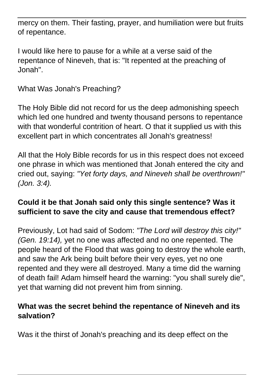mercy on them. Their fasting, prayer, and humiliation were but fruits of repentance.

I would like here to pause for a while at a verse said of the repentance of Nineveh, that is: "It repented at the preaching of Jonah".

What Was Jonah's Preaching?

The Holy Bible did not record for us the deep admonishing speech which led one hundred and twenty thousand persons to repentance with that wonderful contrition of heart. O that it supplied us with this excellent part in which concentrates all Jonah's greatness!

All that the Holy Bible records for us in this respect does not exceed one phrase in which was mentioned that Jonah entered the city and cried out, saying: "Yet forty days, and Nineveh shall be overthrown!" (Jon. 3:4).

### **Could it be that Jonah said only this single sentence? Was it sufficient to save the city and cause that tremendous effect?**

Previously, Lot had said of Sodom: "The Lord will destroy this city!" (Gen. 19:14), yet no one was affected and no one repented. The people heard of the Flood that was going to destroy the whole earth, and saw the Ark being built before their very eyes, yet no one repented and they were all destroyed. Many a time did the warning of death fail! Adam himself heard the warning: "you shall surely die", yet that warning did not prevent him from sinning.

#### **What was the secret behind the repentance of Nineveh and its salvation?**

Was it the thirst of Jonah's preaching and its deep effect on the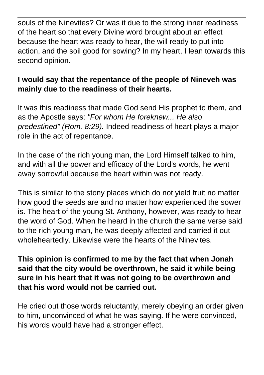souls of the Ninevites? Or was it due to the strong inner readiness of the heart so that every Divine word brought about an effect because the heart was ready to hear, the will ready to put into action, and the soil good for sowing? In my heart, I lean towards this second opinion.

#### **I would say that the repentance of the people of Nineveh was mainly due to the readiness of their hearts.**

It was this readiness that made God send His prophet to them, and as the Apostle says: "For whom He foreknew... He also predestined" (Rom. 8:29). Indeed readiness of heart plays a major role in the act of repentance.

In the case of the rich young man, the Lord Himself talked to him, and with all the power and efficacy of the Lord's words, he went away sorrowful because the heart within was not ready.

This is similar to the stony places which do not yield fruit no matter how good the seeds are and no matter how experienced the sower is. The heart of the young St. Anthony, however, was ready to hear the word of God. When he heard in the church the same verse said to the rich young man, he was deeply affected and carried it out wholeheartedly. Likewise were the hearts of the Ninevites.

**This opinion is confirmed to me by the fact that when Jonah said that the city would be overthrown, he said it while being sure in his heart that it was not going to be overthrown and that his word would not be carried out.**

He cried out those words reluctantly, merely obeying an order given to him, unconvinced of what he was saying. If he were convinced, his words would have had a stronger effect.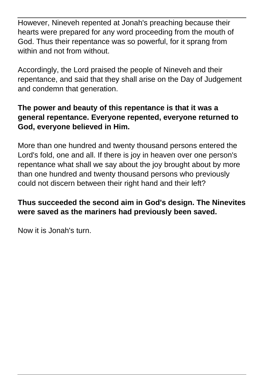However, Nineveh repented at Jonah's preaching because their hearts were prepared for any word proceeding from the mouth of God. Thus their repentance was so powerful, for it sprang from within and not from without

Accordingly, the Lord praised the people of Nineveh and their repentance, and said that they shall arise on the Day of Judgement and condemn that generation.

#### **The power and beauty of this repentance is that it was a general repentance. Everyone repented, everyone returned to God, everyone believed in Him.**

More than one hundred and twenty thousand persons entered the Lord's fold, one and all. If there is joy in heaven over one person's repentance what shall we say about the joy brought about by more than one hundred and twenty thousand persons who previously could not discern between their right hand and their left?

### **Thus succeeded the second aim in God's design. The Ninevites were saved as the mariners had previously been saved.**

Now it is Jonah's turn.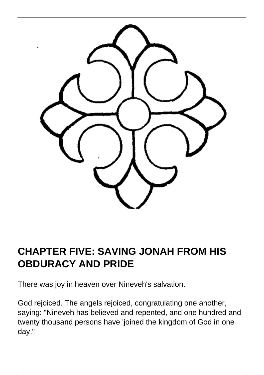

# **CHAPTER FIVE: SAVING JONAH FROM HIS OBDURACY AND PRIDE**

There was joy in heaven over Nineveh's salvation.

God rejoiced. The angels rejoiced, congratulating one another, saying: "Nineveh has believed and repented, and one hundred and twenty thousand persons have 'joined the kingdom of God in one day."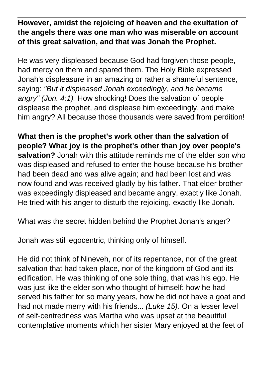**However, amidst the rejoicing of heaven and the exultation of the angels there was one man who was miserable on account of this great salvation, and that was Jonah the Prophet.**

He was very displeased because God had forgiven those people, had mercy on them and spared them. The Holy Bible expressed Jonah's displeasure in an amazing or rather a shameful sentence, saying: "But it displeased Jonah exceedingly, and he became angry" (Jon. 4:1). How shocking! Does the salvation of people displease the prophet, and displease him exceedingly, and make him angry? All because those thousands were saved from perdition!

**What then is the prophet's work other than the salvation of people? What joy is the prophet's other than joy over people's salvation?** Jonah with this attitude reminds me of the elder son who was displeased and refused to enter the house because his brother had been dead and was alive again; and had been lost and was now found and was received gladly by his father. That elder brother was exceedingly displeased and became angry, exactly like Jonah. He tried with his anger to disturb the rejoicing, exactly like Jonah.

What was the secret hidden behind the Prophet Jonah's anger?

Jonah was still egocentric, thinking only of himself.

He did not think of Nineveh, nor of its repentance, nor of the great salvation that had taken place, nor of the kingdom of God and its edification. He was thinking of one sole thing, that was his ego. He was just like the elder son who thought of himself: how he had served his father for so many years, how he did not have a goat and had not made merry with his friends... (Luke 15). On a lesser level of self-centredness was Martha who was upset at the beautiful contemplative moments which her sister Mary enjoyed at the feet of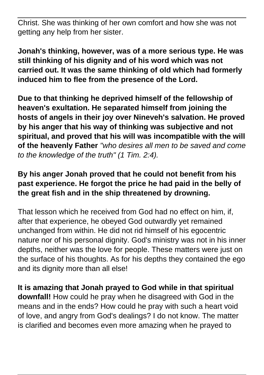Christ. She was thinking of her own comfort and how she was not getting any help from her sister.

**Jonah's thinking, however, was of a more serious type. He was still thinking of his dignity and of his word which was not carried out. It was the same thinking of old which had formerly induced him to flee from the presence of the Lord.**

**Due to that thinking he deprived himself of the fellowship of heaven's exultation. He separated himself from joining the hosts of angels in their joy over Nineveh's salvation. He proved by his anger that his way of thinking was subjective and not spiritual, and proved that his will was incompatible with the will of the heavenly Father** "who desires all men to be saved and come to the knowledge of the truth" (1 Tim. 2:4).

### **By his anger Jonah proved that he could not benefit from his past experience. He forgot the price he had paid in the belly of the great fish and in the ship threatened by drowning.**

That lesson which he received from God had no effect on him, if, after that experience, he obeyed God outwardly yet remained unchanged from within. He did not rid himself of his egocentric nature nor of his personal dignity. God's ministry was not in his inner depths, neither was the love for people. These matters were just on the surface of his thoughts. As for his depths they contained the ego and its dignity more than all else!

**It is amazing that Jonah prayed to God while in that spiritual downfall!** How could he pray when he disagreed with God in the means and in the ends? How could he pray with such a heart void of love, and angry from God's dealings? I do not know. The matter is clarified and becomes even more amazing when he prayed to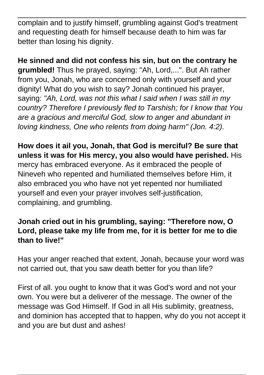complain and to justify himself, grumbling against God's treatment and requesting death for himself because death to him was far better than losing his dignity.

**He sinned and did not confess his sin, but on the contrary he grumbled!** Thus he prayed, saying: "Ah, Lord,...". But Ah rather from you, Jonah, who are concerned only with yourself and your dignity! What do you wish to say? Jonah continued his prayer, saying: "Ah, Lord, was not this what I said when I was still in my country? Therefore I previously fled to Tarshish; for I know that You are a gracious and merciful God, slow to anger and abundant in loving kindness, One who relents from doing harm" (Jon. 4:2).

**How does it ail you, Jonah, that God is merciful? Be sure that unless it was for His mercy, you also would have perished.** His mercy has embraced everyone. As it embraced the people of Nineveh who repented and humiliated themselves before Him, it also embraced you who have not yet repented nor humiliated yourself and even your prayer involves self-justification, complaining, and grumbling.

### **Jonah cried out in his grumbling, saying: "Therefore now, O Lord, please take my life from me, for it is better for me to die than to live!"**

Has your anger reached that extent, Jonah, because your word was not carried out, that you saw death better for you than life?

First of all. you ought to know that it was God's word and not your own. You were but a deliverer of the message. The owner of the message was God Himself. If God in all His sublimity, greatness, and dominion has accepted that to happen, why do you not accept it and you are but dust and ashes!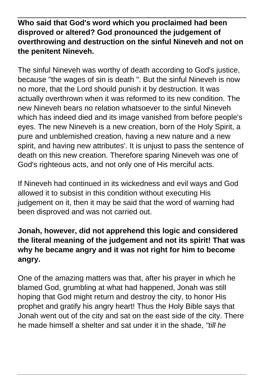**Who said that God's word which you proclaimed had been disproved or altered? God pronounced the judgement of overthrowing and destruction on the sinful Nineveh and not on the penitent Nineveh.**

The sinful Nineveh was worthy of death according to God's justice, because "the wages of sin is death ". But the sinful Nineveh is now no more, that the Lord should punish it by destruction. It was actually overthrown when it was reformed to its new condition. The new Nineveh bears no relation whatsoever to the sinful Nineveh which has indeed died and its image vanished from before people's eyes. The new Nineveh is a new creation, born of the Holy Spirit, a pure and unblemished creation, having a new nature and a new spirit, and having new attributes'. It is unjust to pass the sentence of death on this new creation. Therefore sparing Nineveh was one of God's righteous acts, and not only one of His merciful acts.

If Nineveh had continued in its wickedness and evil ways and God allowed it to subsist in this condition without executing His judgement on it, then it may be said that the word of warning had been disproved and was not carried out.

### **Jonah, however, did not apprehend this logic and considered the literal meaning of the judgement and not its spirit! That was why he became angry and it was not right for him to become angry.**

One of the amazing matters was that, after his prayer in which he blamed God, grumbling at what had happened, Jonah was still hoping that God might return and destroy the city, to honor His prophet and gratify his angry heart! Thus the Holy Bible says that Jonah went out of the city and sat on the east side of the city. There he made himself a shelter and sat under it in the shade, "till he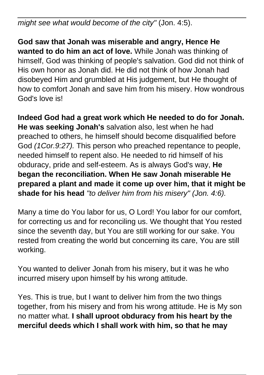might see what would become of the city" (Jon. 4:5).

**God saw that Jonah was miserable and angry, Hence He wanted to do him an act of love.** While Jonah was thinking of himself, God was thinking of people's salvation. God did not think of His own honor as Jonah did. He did not think of how Jonah had disobeyed Him and grumbled at His judgement, but He thought of how to comfort Jonah and save him from his misery. How wondrous God's love is!

**Indeed God had a great work which He needed to do for Jonah. He was seeking Jonah's** salvation also, lest when he had preached to others, he himself should become disqualified before God (1Cor.9:27). This person who preached repentance to people, needed himself to repent also. He needed to rid himself of his obduracy, pride and self-esteem. As is always God's way, **He began the reconciliation. When He saw Jonah miserable He prepared a plant and made it come up over him, that it might be shade for his head** "to deliver him from his misery" (Jon. 4:6).

Many a time do You labor for us, O Lord! You labor for our comfort, for correcting us and for reconciling us. We thought that You rested since the seventh day, but You are still working for our sake. You rested from creating the world but concerning its care, You are still working.

You wanted to deliver Jonah from his misery, but it was he who incurred misery upon himself by his wrong attitude.

Yes. This is true, but I want to deliver him from the two things together, from his misery and from his wrong attitude. He is My son no matter what. **I shall uproot obduracy from his heart by the merciful deeds which I shall work with him, so that he may**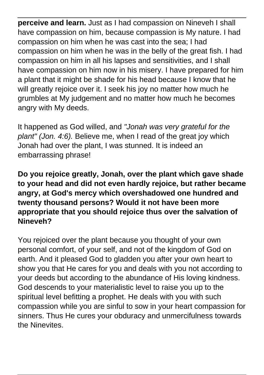**perceive and learn.** Just as I had compassion on Nineveh I shall have compassion on him, because compassion is My nature. I had compassion on him when he was cast into the sea; I had compassion on him when he was in the belly of the great fish. I had compassion on him in all his lapses and sensitivities, and I shall have compassion on him now in his misery. I have prepared for him a plant that it might be shade for his head because I know that he will greatly rejoice over it. I seek his joy no matter how much he grumbles at My judgement and no matter how much he becomes angry with My deeds.

It happened as God willed, and "Jonah was very grateful for the plant" (Jon. 4:6). Believe me, when I read of the great joy which Jonah had over the plant, I was stunned. It is indeed an embarrassing phrase!

**Do you rejoice greatly, Jonah, over the plant which gave shade to your head and did not even hardly rejoice, but rather became angry, at God's mercy which overshadowed one hundred and twenty thousand persons? Would it not have been more appropriate that you should rejoice thus over the salvation of Nineveh?**

You rejoiced over the plant because you thought of your own personal comfort, of your self, and not of the kingdom of God on earth. And it pleased God to gladden you after your own heart to show you that He cares for you and deals with you not according to your deeds but according to the abundance of His loving kindness. God descends to your materialistic level to raise you up to the spiritual level befitting a prophet. He deals with you with such compassion while you are sinful to sow in your heart compassion for sinners. Thus He cures your obduracy and unmercifulness towards the Ninevites.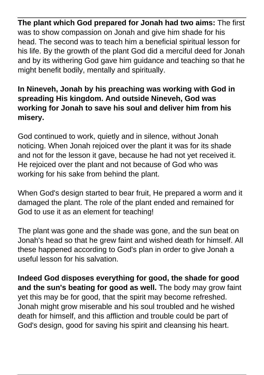**The plant which God prepared for Jonah had two aims:** The first was to show compassion on Jonah and give him shade for his head. The second was to teach him a beneficial spiritual lesson for his life. By the growth of the plant God did a merciful deed for Jonah and by its withering God gave him guidance and teaching so that he might benefit bodily, mentally and spiritually.

### **In Nineveh, Jonah by his preaching was working with God in spreading His kingdom. And outside Nineveh, God was working for Jonah to save his soul and deliver him from his misery.**

God continued to work, quietly and in silence, without Jonah noticing. When Jonah rejoiced over the plant it was for its shade and not for the lesson it gave, because he had not yet received it. He rejoiced over the plant and not because of God who was working for his sake from behind the plant.

When God's design started to bear fruit, He prepared a worm and it damaged the plant. The role of the plant ended and remained for God to use it as an element for teaching!

The plant was gone and the shade was gone, and the sun beat on Jonah's head so that he grew faint and wished death for himself. All these happened according to God's plan in order to give Jonah a useful lesson for his salvation.

**Indeed God disposes everything for good, the shade for good and the sun's beating for good as well.** The body may grow faint yet this may be for good, that the spirit may become refreshed. Jonah might grow miserable and his soul troubled and he wished death for himself, and this affliction and trouble could be part of God's design, good for saving his spirit and cleansing his heart.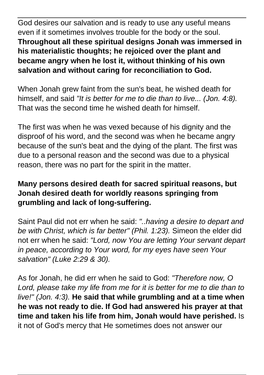God desires our salvation and is ready to use any useful means even if it sometimes involves trouble for the body or the soul. **Throughout all these spiritual designs Jonah was immersed in his materialistic thoughts; he rejoiced over the plant and became angry when he lost it, without thinking of his own salvation and without caring for reconciliation to God.**

When Jonah grew faint from the sun's beat, he wished death for himself, and said "It is better for me to die than to live... (Jon. 4:8). That was the second time he wished death for himself.

The first was when he was vexed because of his dignity and the disproof of his word, and the second was when he became angry because of the sun's beat and the dying of the plant. The first was due to a personal reason and the second was due to a physical reason, there was no part for the spirit in the matter.

### **Many persons desired death for sacred spiritual reasons, but Jonah desired death for worldly reasons springing from grumbling and lack of long-suffering.**

Saint Paul did not err when he said: "..having a desire to depart and be with Christ, which is far better" (Phil. 1:23). Simeon the elder did not err when he said: "Lord, now You are letting Your servant depart in peace, according to Your word, for my eyes have seen Your salvation" (Luke 2:29 & 30).

As for Jonah, he did err when he said to God: "Therefore now, O Lord, please take my life from me for it is better for me to die than to live!" (Jon. 4:3). **He said that while grumbling and at a time when he was not ready to die. If God had answered his prayer at that time and taken his life from him, Jonah would have perished.** Is it not of God's mercy that He sometimes does not answer our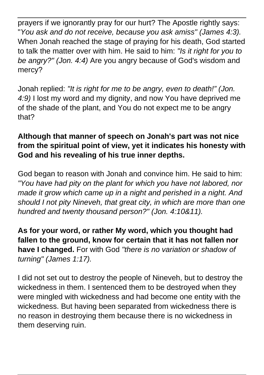prayers if we ignorantly pray for our hurt? The Apostle rightly says: "You ask and do not receive, because you ask amiss" (James 4:3). When Jonah reached the stage of praying for his death, God started to talk the matter over with him. He said to him: "Is it right for you to be angry?" (Jon. 4:4) Are you angry because of God's wisdom and mercy?

Jonah replied: "It is right for me to be angry, even to death!" (Jon. 4:9) I lost my word and my dignity, and now You have deprived me of the shade of the plant, and You do not expect me to be angry that?

### **Although that manner of speech on Jonah's part was not nice from the spiritual point of view, yet it indicates his honesty with God and his revealing of his true inner depths.**

God began to reason with Jonah and convince him. He said to him: "You have had pity on the plant for which you have not labored, nor made it grow which came up in a night and perished in a night. And should I not pity Nineveh, that great city, in which are more than one hundred and twenty thousand person?" (Jon. 4:10&11).

**As for your word, or rather My word, which you thought had fallen to the ground, know for certain that it has not fallen nor have I changed.** For with God "there is no variation or shadow of turning" (James 1:17).

I did not set out to destroy the people of Nineveh, but to destroy the wickedness in them. I sentenced them to be destroyed when they were mingled with wickedness and had become one entity with the wickedness. But having been separated from wickedness there is no reason in destroying them because there is no wickedness in them deserving ruin.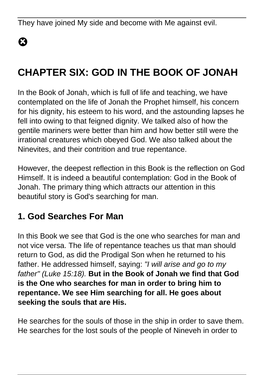They have joined My side and become with Me against evil.

# $\boldsymbol{\Omega}$

# **CHAPTER SIX: GOD IN THE BOOK OF JONAH**

In the Book of Jonah, which is full of life and teaching, we have contemplated on the life of Jonah the Prophet himself, his concern for his dignity, his esteem to his word, and the astounding lapses he fell into owing to that feigned dignity. We talked also of how the gentile mariners were better than him and how better still were the irrational creatures which obeyed God. We also talked about the Ninevites, and their contrition and true repentance.

However, the deepest reflection in this Book is the reflection on God Himself. It is indeed a beautiful contemplation: God in the Book of Jonah. The primary thing which attracts our attention in this beautiful story is God's searching for man.

# **1. God Searches For Man**

In this Book we see that God is the one who searches for man and not vice versa. The life of repentance teaches us that man should return to God, as did the Prodigal Son when he returned to his father. He addressed himself, saying: "I will arise and go to my father" (Luke 15:18). **But in the Book of Jonah we find that God is the One who searches for man in order to bring him to repentance. We see Him searching for all. He goes about seeking the souls that are His.**

He searches for the souls of those in the ship in order to save them. He searches for the lost souls of the people of Nineveh in order to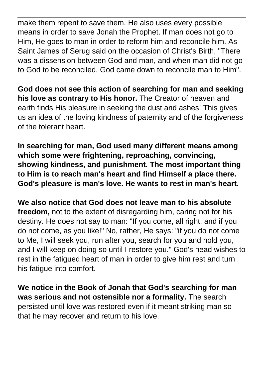make them repent to save them. He also uses every possible means in order to save Jonah the Prophet. If man does not go to Him, He goes to man in order to reform him and reconcile him. As Saint James of Serug said on the occasion of Christ's Birth, "There was a dissension between God and man, and when man did not go to God to be reconciled, God came down to reconcile man to Him".

**God does not see this action of searching for man and seeking his love as contrary to His honor.** The Creator of heaven and earth finds His pleasure in seeking the dust and ashes! This gives us an idea of the loving kindness of paternity and of the forgiveness of the tolerant heart.

**In searching for man, God used many different means among which some were frightening, reproaching, convincing, showing kindness, and punishment. The most important thing to Him is to reach man's heart and find Himself a place there. God's pleasure is man's love. He wants to rest in man's heart.**

**We also notice that God does not leave man to his absolute freedom,** not to the extent of disregarding him, caring not for his destiny. He does not say to man: "If you come, all right, and if you do not come, as you like!" No, rather, He says: "if you do not come to Me, I will seek you, run after you, search for you and hold you, and I will keep on doing so until I restore you." God's head wishes to rest in the fatigued heart of man in order to give him rest and turn his fatigue into comfort.

**We notice in the Book of Jonah that God's searching for man was serious and not ostensible nor a formality.** The search persisted until love was restored even if it meant striking man so that he may recover and return to his love.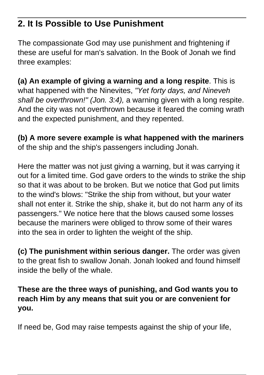## **2. It Is Possible to Use Punishment**

The compassionate God may use punishment and frightening if these are useful for man's salvation. In the Book of Jonah we find three examples:

**(a) An example of giving a warning and a long respite**. This is what happened with the Ninevites, "Yet forty days, and Nineveh shall be overthrown!" (Jon. 3:4), a warning given with a long respite. And the city was not overthrown because it feared the coming wrath and the expected punishment, and they repented.

**(b) A more severe example is what happened with the mariners** of the ship and the ship's passengers including Jonah.

Here the matter was not just giving a warning, but it was carrying it out for a limited time. God gave orders to the winds to strike the ship so that it was about to be broken. But we notice that God put limits to the wind's blows: "Strike the ship from without, but your water shall not enter it. Strike the ship, shake it, but do not harm any of its passengers." We notice here that the blows caused some losses because the mariners were obliged to throw some of their wares into the sea in order to lighten the weight of the ship.

**(c) The punishment within serious danger.** The order was given to the great fish to swallow Jonah. Jonah looked and found himself inside the belly of the whale.

**These are the three ways of punishing, and God wants you to reach Him by any means that suit you or are convenient for you.**

If need be, God may raise tempests against the ship of your life,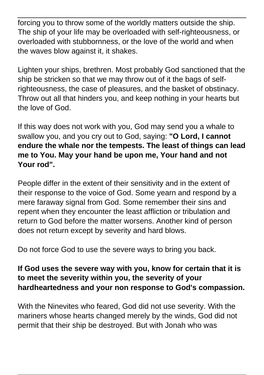forcing you to throw some of the worldly matters outside the ship. The ship of your life may be overloaded with self-righteousness, or overloaded with stubbornness, or the love of the world and when the waves blow against it, it shakes.

Lighten your ships, brethren. Most probably God sanctioned that the ship be stricken so that we may throw out of it the bags of selfrighteousness, the case of pleasures, and the basket of obstinacy. Throw out all that hinders you, and keep nothing in your hearts but the love of God.

If this way does not work with you, God may send you a whale to swallow you, and you cry out to God, saying: **"O Lord, I cannot endure the whale nor the tempests. The least of things can lead me to You. May your hand be upon me, Your hand and not Your rod".**

People differ in the extent of their sensitivity and in the extent of their response to the voice of God. Some yearn and respond by a mere faraway signal from God. Some remember their sins and repent when they encounter the least affliction or tribulation and return to God before the matter worsens. Another kind of person does not return except by severity and hard blows.

Do not force God to use the severe ways to bring you back.

#### **If God uses the severe way with you, know for certain that it is to meet the severity within you, the severity of your hardheartedness and your non response to God's compassion.**

With the Ninevites who feared, God did not use severity. With the mariners whose hearts changed merely by the winds, God did not permit that their ship be destroyed. But with Jonah who was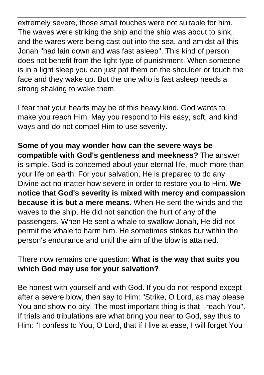extremely severe, those small touches were not suitable for him. The waves were striking the ship and the ship was about to sink, and the wares were being cast out into the sea, and amidst all this Jonah "had lain down and was fast asleep". This kind of person does not benefit from the light type of punishment. When someone is in a light sleep you can just pat them on the shoulder or touch the face and they wake up. But the one who is fast asleep needs a strong shaking to wake them.

I fear that your hearts may be of this heavy kind. God wants to make you reach Him. May you respond to His easy, soft, and kind ways and do not compel Him to use severity.

**Some of you may wonder how can the severe ways be compatible with God's gentleness and meekness?** The answer is simple. God is concerned about your eternal life, much more than your life on earth. For your salvation, He is prepared to do any Divine act no matter how severe in order to restore you to Him. **We notice that God's severity is mixed with mercy and compassion because it is but a mere means.** When He sent the winds and the waves to the ship, He did not sanction the hurt of any of the passengers. When He sent a whale to swallow Jonah, He did not permit the whale to harm him. He sometimes strikes but within the person's endurance and until the aim of the blow is attained.

#### There now remains one question: **What is the way that suits you which God may use for your salvation?**

Be honest with yourself and with God. If you do not respond except after a severe blow, then say to Him: "Strike, O Lord, as may please You and show no pity. The most important thing is that I reach You". If trials and tribulations are what bring you near to God, say thus to Him: "I confess to You, O Lord, that if I live at ease, I will forget You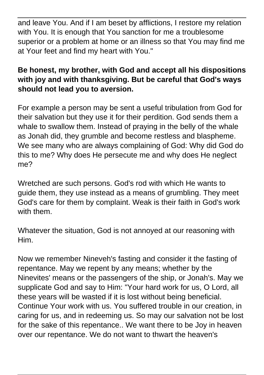and leave You. And if I am beset by afflictions, I restore my relation with You. It is enough that You sanction for me a troublesome superior or a problem at home or an illness so that You may find me at Your feet and find my heart with You."

### **Be honest, my brother, with God and accept all his dispositions with joy and with thanksgiving. But be careful that God's ways should not lead you to aversion.**

For example a person may be sent a useful tribulation from God for their salvation but they use it for their perdition. God sends them a whale to swallow them. Instead of praying in the belly of the whale as Jonah did, they grumble and become restless and blaspheme. We see many who are always complaining of God: Why did God do this to me? Why does He persecute me and why does He neglect me?

Wretched are such persons. God's rod with which He wants to guide them, they use instead as a means of grumbling. They meet God's care for them by complaint. Weak is their faith in God's work with them.

Whatever the situation, God is not annoyed at our reasoning with Him.

Now we remember Nineveh's fasting and consider it the fasting of repentance. May we repent by any means; whether by the Ninevites' means or the passengers of the ship, or Jonah's. May we supplicate God and say to Him: "Your hard work for us, O Lord, all these years will be wasted if it is lost without being beneficial. Continue Your work with us. You suffered trouble in our creation, in caring for us, and in redeeming us. So may our salvation not be lost for the sake of this repentance.. We want there to be Joy in heaven over our repentance. We do not want to thwart the heaven's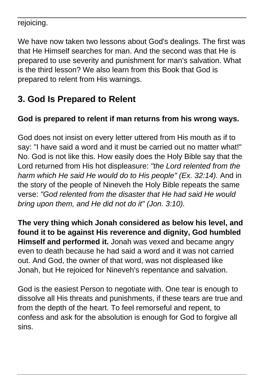#### rejoicing.

We have now taken two lessons about God's dealings. The first was that He Himself searches for man. And the second was that He is prepared to use severity and punishment for man's salvation. What is the third lesson? We also learn from this Book that God is prepared to relent from His warnings.

# **3. God Is Prepared to Relent**

### **God is prepared to relent if man returns from his wrong ways.**

God does not insist on every letter uttered from His mouth as if to say: "I have said a word and it must be carried out no matter what!" No. God is not like this. How easily does the Holy Bible say that the Lord returned from His hot displeasure: "the Lord relented from the harm which He said He would do to His people" (Ex. 32:14). And in the story of the people of Nineveh the Holy Bible repeats the same verse: "God relented from the disaster that He had said He would bring upon them, and He did not do it" (Jon. 3:10).

**The very thing which Jonah considered as below his level, and found it to be against His reverence and dignity, God humbled Himself and performed it.** Jonah was vexed and became angry even to death because he had said a word and it was not carried out. And God, the owner of that word, was not displeased like Jonah, but He rejoiced for Nineveh's repentance and salvation.

God is the easiest Person to negotiate with. One tear is enough to dissolve all His threats and punishments, if these tears are true and from the depth of the heart. To feel remorseful and repent, to confess and ask for the absolution is enough for God to forgive all sins.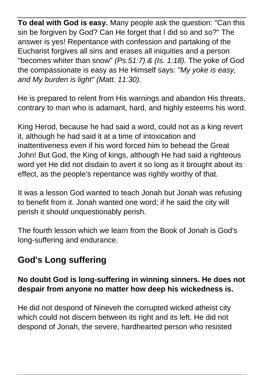**To deal with God is easy.** Many people ask the question: "Can this sin be forgiven by God? Can He forget that I did so and so?" The answer is yes! Repentance with confession and partaking of the Eucharist forgives all sins and erases all iniquities and a person "becomes whiter than snow" (Ps.51:7) & (Is. 1:18). The yoke of God the compassionate is easy as He Himself says: "My yoke is easy, and My burden is light" (Matt. 11:30).

He is prepared to relent from His warnings and abandon His threats, contrary to man who is adamant, hard, and highly esteems his word.

King Herod, because he had said a word, could not as a king revert it, although he had said it at a time of intoxication and inattentiveness even if his word forced him to behead the Great John! But God, the King of kings, although He had said a righteous word yet He did not disdain to avert it so long as it brought about its effect, as the people's repentance was rightly worthy of that.

It was a lesson God wanted to teach Jonah but Jonah was refusing to benefit from it. Jonah wanted one word; if he said the city will perish it should unquestionably perish.

The fourth lesson which we learn from the Book of Jonah is God's long-suffering and endurance.

# **God's Long suffering**

### **No doubt God is long-suffering in winning sinners. He does not despair from anyone no matter how deep his wickedness is.**

He did not despond of Nineveh the corrupted wicked atheist city which could not discern between its right and its left. He did not despond of Jonah, the severe, hardhearted person who resisted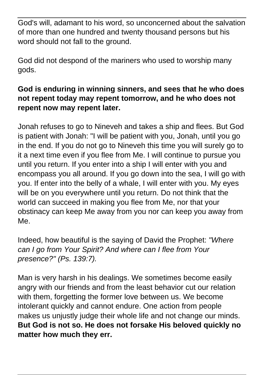God's will, adamant to his word, so unconcerned about the salvation of more than one hundred and twenty thousand persons but his word should not fall to the ground.

God did not despond of the mariners who used to worship many gods.

### **God is enduring in winning sinners, and sees that he who does not repent today may repent tomorrow, and he who does not repent now may repent later.**

Jonah refuses to go to Nineveh and takes a ship and flees. But God is patient with Jonah: "I will be patient with you, Jonah, until you go in the end. If you do not go to Nineveh this time you will surely go to it a next time even if you flee from Me. I will continue to pursue you until you return. If you enter into a ship I will enter with you and encompass you all around. If you go down into the sea, I will go with you. If enter into the belly of a whale, I will enter with you. My eyes will be on you everywhere until you return. Do not think that the world can succeed in making you flee from Me, nor that your obstinacy can keep Me away from you nor can keep you away from Me.

Indeed, how beautiful is the saying of David the Prophet: "Where can I go from Your Spirit? And where can I flee from Your presence?" (Ps. 139:7).

Man is very harsh in his dealings. We sometimes become easily angry with our friends and from the least behavior cut our relation with them, forgetting the former love between us. We become intolerant quickly and cannot endure. One action from people makes us unjustly judge their whole life and not change our minds. **But God is not so. He does not forsake His beloved quickly no matter how much they err.**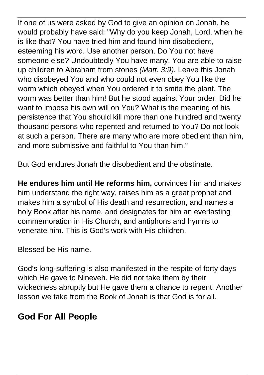If one of us were asked by God to give an opinion on Jonah, he would probably have said: "Why do you keep Jonah, Lord, when he is like that? You have tried him and found him disobedient, esteeming his word. Use another person. Do You not have someone else? Undoubtedly You have many. You are able to raise up children to Abraham from stones (Matt. 3:9). Leave this Jonah who disobeyed You and who could not even obey You like the worm which obeyed when You ordered it to smite the plant. The worm was better than him! But he stood against Your order. Did he want to impose his own will on You? What is the meaning of his persistence that You should kill more than one hundred and twenty thousand persons who repented and returned to You? Do not look at such a person. There are many who are more obedient than him, and more submissive and faithful to You than him."

But God endures Jonah the disobedient and the obstinate.

**He endures him until He reforms him,** convinces him and makes him understand the right way, raises him as a great prophet and makes him a symbol of His death and resurrection, and names a holy Book after his name, and designates for him an everlasting commemoration in His Church, and antiphons and hymns to venerate him. This is God's work with His children.

Blessed be His name.

God's long-suffering is also manifested in the respite of forty days which He gave to Nineveh. He did not take them by their wickedness abruptly but He gave them a chance to repent. Another lesson we take from the Book of Jonah is that God is for all.

## **God For All People**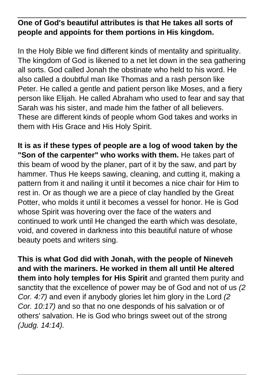### **One of God's beautiful attributes is that He takes all sorts of people and appoints for them portions in His kingdom.**

In the Holy Bible we find different kinds of mentality and spirituality. The kingdom of God is likened to a net let down in the sea gathering all sorts. God called Jonah the obstinate who held to his word. He also called a doubtful man like Thomas and a rash person like Peter. He called a gentle and patient person like Moses, and a fiery person like Elijah. He called Abraham who used to fear and say that Sarah was his sister, and made him the father of all believers. These are different kinds of people whom God takes and works in them with His Grace and His Holy Spirit.

**It is as if these types of people are a log of wood taken by the "Son of the carpenter" who works with them.** He takes part of this beam of wood by the planer, part of it by the saw, and part by hammer. Thus He keeps sawing, cleaning, and cutting it, making a pattern from it and nailing it until it becomes a nice chair for Him to rest in. Or as though we are a piece of clay handled by the Great Potter, who molds it until it becomes a vessel for honor. He is God whose Spirit was hovering over the face of the waters and continued to work until He changed the earth which was desolate, void, and covered in darkness into this beautiful nature of whose beauty poets and writers sing.

**This is what God did with Jonah, with the people of Nineveh and with the mariners. He worked in them all until He altered them into holy temples for His Spirit** and granted them purity and sanctity that the excellence of power may be of God and not of us (2 Cor. 4:7) and even if anybody glories let him glory in the Lord (2 Cor. 10:17) and so that no one desponds of his salvation or of others' salvation. He is God who brings sweet out of the strong (Judg. 14:14).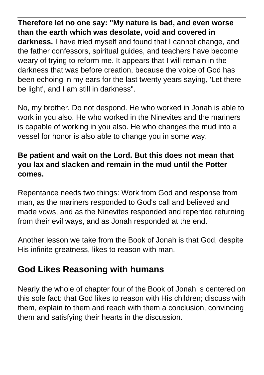**Therefore let no one say: "My nature is bad, and even worse than the earth which was desolate, void and covered in darkness.** I have tried myself and found that I cannot change, and the father confessors, spiritual guides, and teachers have become weary of trying to reform me. It appears that I will remain in the darkness that was before creation, because the voice of God has been echoing in my ears for the last twenty years saying, 'Let there be light', and I am still in darkness".

No, my brother. Do not despond. He who worked in Jonah is able to work in you also. He who worked in the Ninevites and the mariners is capable of working in you also. He who changes the mud into a vessel for honor is also able to change you in some way.

### **Be patient and wait on the Lord. But this does not mean that you lax and slacken and remain in the mud until the Potter comes.**

Repentance needs two things: Work from God and response from man, as the mariners responded to God's call and believed and made vows, and as the Ninevites responded and repented returning from their evil ways, and as Jonah responded at the end.

Another lesson we take from the Book of Jonah is that God, despite His infinite greatness, likes to reason with man.

# **God Likes Reasoning with humans**

Nearly the whole of chapter four of the Book of Jonah is centered on this sole fact: that God likes to reason with His children; discuss with them, explain to them and reach with them a conclusion, convincing them and satisfying their hearts in the discussion.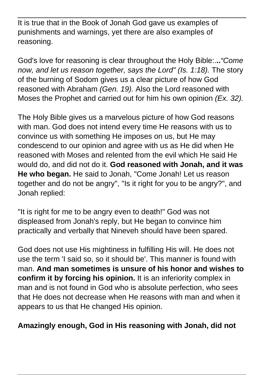It is true that in the Book of Jonah God gave us examples of punishments and warnings, yet there are also examples of reasoning.

God's love for reasoning is clear throughout the Holy Bible:.**..**"Come now, and let us reason together, says the Lord" (Is. 1:18). The story of the burning of Sodom gives us a clear picture of how God reasoned with Abraham (Gen. 19). Also the Lord reasoned with Moses the Prophet and carried out for him his own opinion (Ex. 32).

The Holy Bible gives us a marvelous picture of how God reasons with man. God does not intend every time He reasons with us to convince us with something He imposes on us, but He may condescend to our opinion and agree with us as He did when He reasoned with Moses and relented from the evil which He said He would do, and did not do it. **God reasoned with Jonah, and it was He who began.** He said to Jonah, "Come Jonah! Let us reason together and do not be angry", "Is it right for you to be angry?", and Jonah replied:

"It is right for me to be angry even to death!" God was not displeased from Jonah's reply, but He began to convince him practically and verbally that Nineveh should have been spared.

God does not use His mightiness in fulfilling His will. He does not use the term 'I said so, so it should be'. This manner is found with man. **And man sometimes is unsure of his honor and wishes to confirm it by forcing his opinion.** It is an inferiority complex in man and is not found in God who is absolute perfection, who sees that He does not decrease when He reasons with man and when it appears to us that He changed His opinion.

### **Amazingly enough, God in His reasoning with Jonah, did not**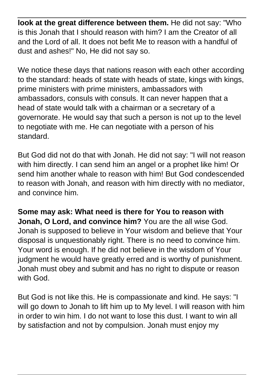**look at the great difference between them.** He did not say: "Who is this Jonah that I should reason with him? I am the Creator of all and the Lord of all. It does not befit Me to reason with a handful of dust and ashes!" No, He did not say so.

We notice these days that nations reason with each other according to the standard: heads of state with heads of state, kings with kings, prime ministers with prime ministers, ambassadors with ambassadors, consuls with consuls. It can never happen that a head of state would talk with a chairman or a secretary of a governorate. He would say that such a person is not up to the level to negotiate with me. He can negotiate with a person of his standard.

But God did not do that with Jonah. He did not say: "I will not reason with him directly. I can send him an angel or a prophet like him! Or send him another whale to reason with him! But God condescended to reason with Jonah, and reason with him directly with no mediator, and convince him.

**Some may ask: What need is there for You to reason with Jonah, O Lord, and convince him?** You are the all wise God. Jonah is supposed to believe in Your wisdom and believe that Your disposal is unquestionably right. There is no need to convince him. Your word is enough. If he did not believe in the wisdom of Your judgment he would have greatly erred and is worthy of punishment. Jonah must obey and submit and has no right to dispute or reason with God.

But God is not like this. He is compassionate and kind. He says: "I will go down to Jonah to lift him up to My level. I will reason with him in order to win him. I do not want to lose this dust. I want to win all by satisfaction and not by compulsion. Jonah must enjoy my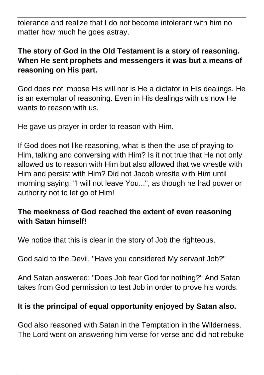tolerance and realize that I do not become intolerant with him no matter how much he goes astray.

### **The story of God in the Old Testament is a story of reasoning. When He sent prophets and messengers it was but a means of reasoning on His part.**

God does not impose His will nor is He a dictator in His dealings. He is an exemplar of reasoning. Even in His dealings with us now He wants to reason with us.

He gave us prayer in order to reason with Him.

If God does not like reasoning, what is then the use of praying to Him, talking and conversing with Him? Is it not true that He not only allowed us to reason with Him but also allowed that we wrestle with Him and persist with Him? Did not Jacob wrestle with Him until morning saying: "I will not leave You...", as though he had power or authority not to let go of Him!

### **The meekness of God reached the extent of even reasoning with Satan himself!**

We notice that this is clear in the story of Job the righteous.

God said to the Devil, "Have you considered My servant Job?"

And Satan answered: "Does Job fear God for nothing?" And Satan takes from God permission to test Job in order to prove his words.

### **It is the principal of equal opportunity enjoyed by Satan also.**

God also reasoned with Satan in the Temptation in the Wilderness. The Lord went on answering him verse for verse and did not rebuke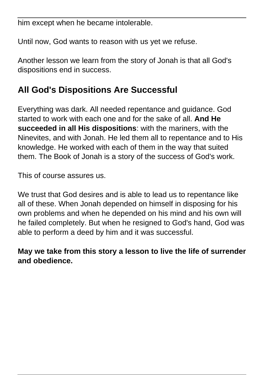him except when he became intolerable.

Until now, God wants to reason with us yet we refuse.

Another lesson we learn from the story of Jonah is that all God's dispositions end in success.

## **All God's Dispositions Are Successful**

Everything was dark. All needed repentance and guidance. God started to work with each one and for the sake of all. **And He succeeded in all His dispositions**: with the mariners, with the Ninevites, and with Jonah. He led them all to repentance and to His knowledge. He worked with each of them in the way that suited them. The Book of Jonah is a story of the success of God's work.

This of course assures us.

We trust that God desires and is able to lead us to repentance like all of these. When Jonah depended on himself in disposing for his own problems and when he depended on his mind and his own will he failed completely. But when he resigned to God's hand, God was able to perform a deed by him and it was successful.

**May we take from this story a lesson to live the life of surrender and obedience.**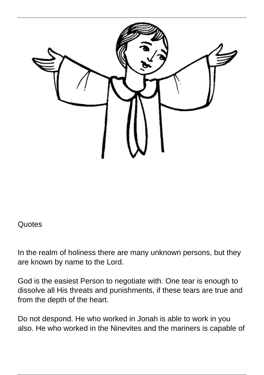

**Quotes** 

In the realm of holiness there are many unknown persons, but they are known by name to the Lord.

God is the easiest Person to negotiate with. One tear is enough to dissolve all His threats and punishments, if these tears are true and from the depth of the heart.

Do not despond. He who worked in Jonah is able to work in you also. He who worked in the Ninevites and the mariners is capable of